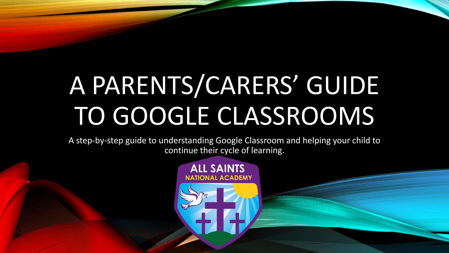# A PARENTS/CARERS' GUIDE TO GOOGLE CLASSROOMS

A step-by-step guide to understanding Google Classroom and helping your child to continue their cycle of learning.

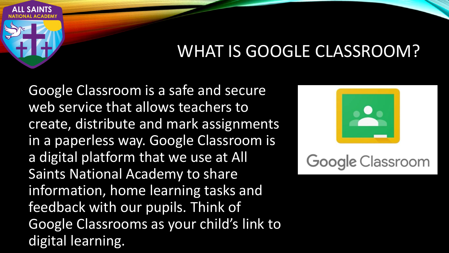

#### WHAT IS GOOGLE CLASSROOM?

Google Classroom is a safe and secure web service that allows teachers to create, distribute and mark assignments in a paperless way. Google Classroom is a digital platform that we use at All Saints National Academy to share information, home learning tasks and feedback with our pupils. Think of Google Classrooms as your child's link to digital learning.



### **Google Classroom**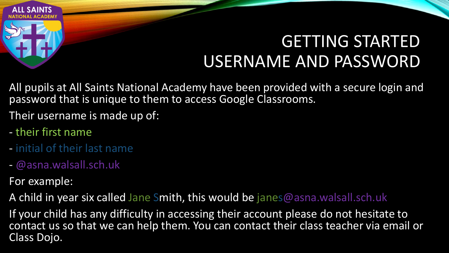

## GETTING STARTED USERNAME AND PASSWORD

All pupils at All Saints National Academy have been provided with a secure login and password that is unique to them to access Google Classrooms.

Their username is made up of:

- their first name
- initial of their last name
- @asna.walsall.sch.uk

For example:

A child in year six called Jane Smith, this would be janes@asna.walsall.sch.uk

If your child has any difficulty in accessing their account please do not hesitate to contact us so that we can help them. You can contact their class teacher via email or Class Dojo.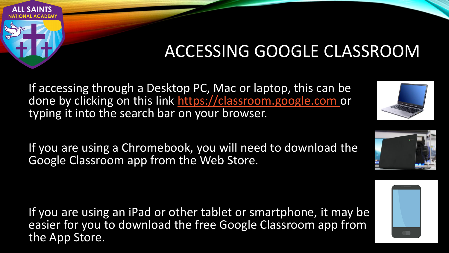

### ACCESSING GOOGLE CLASSROOM

If accessing through a Desktop PC, Mac or laptop, this can be done by clicking on this link [https://classroom.google.com](https://classroom.google.com/) or typing it into the search bar on your browser.

If you are using a Chromebook, you will need to download the Google Classroom app from the Web Store.

If you are using an iPad or other tablet or smartphone, it may be easier for you to download the free Google Classroom app from the App Store.



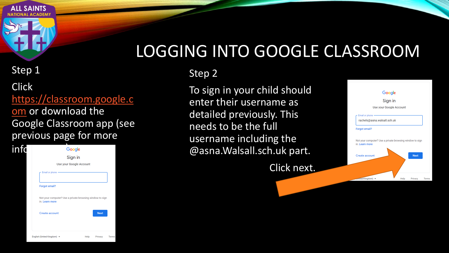

#### Step 1

Click [https://classroom.google.c](https://classroom.google.com/) om or download the Google Classroom app (see previous page for more



#### LOGGING INTO GOOGLE CLASSROOM

#### Step 2

To sign in your child should enter their username as detailed previously. This needs to be the full username including the @asna.Walsall.sch.uk part.

Click next.

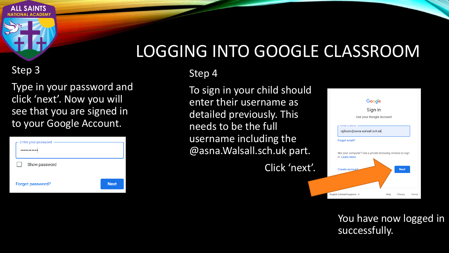

#### LOGGING INTO GOOGLE CLASSROOM

#### Step 3

Type in your password and click 'next'. Now you will see that you are signed in to your Google Account.

| Enter your password |             |
|---------------------|-------------|
| Show password       |             |
| Forgot password?    | <b>Next</b> |

Step 4

To sign in your child should enter their username as detailed previously. This needs to be the full username including the @asna.Walsall.sch.uk part.

Click 'next'.



You have now logged in successfully.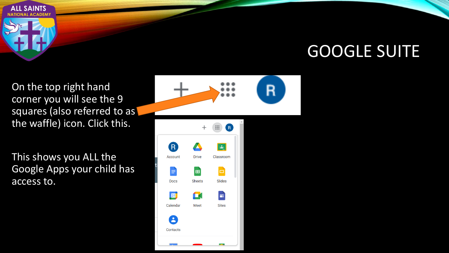

#### GOOGLE SUITE

On the top right hand corner you will see the 9 squares (also referred to as) the waffle) icon. Click this.

This shows you ALL the Google Apps your child has access to.



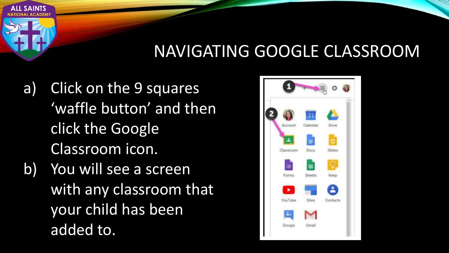#### NAVIGATING GOOGLE CLASSROOM

- a) Click on the 9 squares 'waffle button' and then click the Google Classroom icon.
- b) You will see a screen with any classroom that your child has been added to.

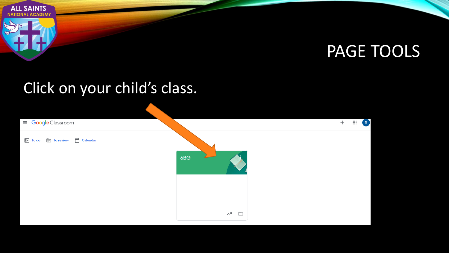

#### PAGE TOOLS

#### Click on your child's class.

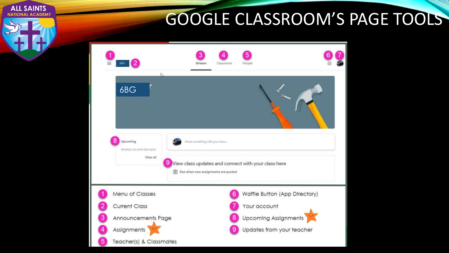## GOOGLE CLASSROOM'S PAGE TOOLS



**ALL SAINTS** 

**NAL ACADEMY**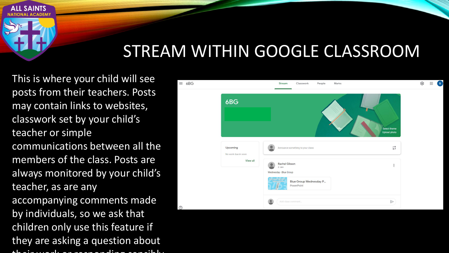#### STREAM WITHIN GOOGLE CLASSROOM

This is where your child will see posts from their teachers. Posts may contain links to websites, classwork set by your child's teacher or simple communications between all the members of the class. Posts are always monitored by your child's teacher, as are any accompanying comments made by individuals, so we ask that children only use this feature if they are asking a question about their work or responding sensibly

**ALL SAINTS** 

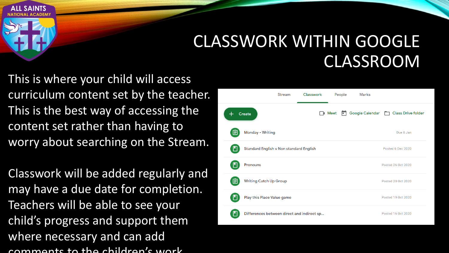#### CLASSWORK WITHIN GOOGLE CLASSROOM

This is where your child will access curriculum content set by the teacher. This is the best way of accessing the content set rather than having to worry about searching on the Stream.

**ALL SAINTS** 

Classwork will be added regularly and may have a due date for completion. Teachers will be able to see your child's progress and support them where necessary and can add comments to the children's work.

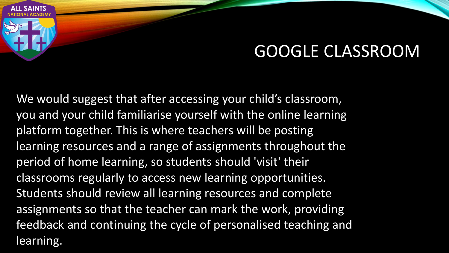#### GOOGLE CLASSROOM

We would suggest that after accessing your child's classroom, you and your child familiarise yourself with the online learning platform together. This is where teachers will be posting learning resources and a range of assignments throughout the period of home learning, so students should 'visit' their classrooms regularly to access new learning opportunities. Students should review all learning resources and complete assignments so that the teacher can mark the work, providing feedback and continuing the cycle of personalised teaching and learning.